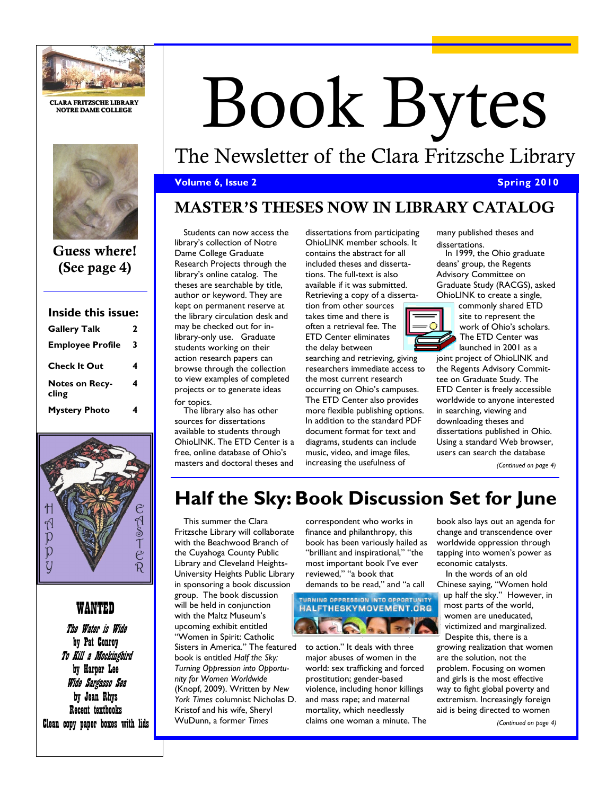

**CLARA FRITZSCHE LIBRARY NOTRE DAME COLLEGE**



**Guess where! (See page 4)**

## **Inside this issue: Gallery Talk 2**

| <b>Employee Profile</b>        | 3 |
|--------------------------------|---|
| <b>Check It Out</b>            |   |
| <b>Notes on Recy-</b><br>cling | 4 |
| <b>Mystery Photo</b>           |   |



## WANTED

The Water is Wide by Pat Conroy To Kill a Mockingbird by Harper Lee Wide Sargasso Sea by Jean Rhys Recent textbooks Clean copy paper boxes with lids

# Book Bytes

# The Newsletter of the Clara Fritzsche Library

## **Volume 6, Issue 2 Spring 2010 Spring 2010**

# **MASTER'S THESES NOW IN LIBRARY CATALOG**

Students can now access the library's collection of Notre Dame College Graduate Research Projects through the library's online catalog. The theses are searchable by title, author or keyword. They are kept on permanent reserve at the library circulation desk and may be checked out for inlibrary-only use. Graduate students working on their action research papers can browse through the collection to view examples of completed projects or to generate ideas for topics.

The library also has other sources for dissertations available to students through OhioLINK. The ETD Center is a free, online database of Ohio's masters and doctoral theses and

dissertations from participating OhioLINK member schools. It contains the abstract for all included theses and dissertations. The full-text is also available if it was submitted. Retrieving a copy of a disserta-

tion from other sources takes time and there is often a retrieval fee. The ETD Center eliminates the delay between

searching and retrieving, giving researchers immediate access to the most current research occurring on Ohio's campuses. The ETD Center also provides more flexible publishing options. In addition to the standard PDF document format for text and diagrams, students can include music, video, and image files, increasing the usefulness of

many published theses and dissertations.

In 1999, the Ohio graduate deans' group, the Regents Advisory Committee on Graduate Study (RACGS), asked OhioLINK to create a single,

> commonly shared ETD site to represent the work of Ohio's scholars. The ETD Center was launched in 2001 as a

joint project of OhioLINK and the Regents Advisory Committee on Graduate Study. The ETD Center is freely accessible worldwide to anyone interested in searching, viewing and downloading theses and dissertations published in Ohio. Using a standard Web browser, users can search the database

*(Continued on page 4)*

# **Half the Sky: Book Discussion Set for June**

This summer the Clara Fritzsche Library will collaborate with the Beachwood Branch of the Cuyahoga County Public Library and Cleveland Heights-University Heights Public Library in sponsoring a book discussion group. The book discussion will be held in conjunction with the Maltz Museum's upcoming exhibit entitled "Women in Spirit: Catholic Sisters in America." The featured book is entitled *Half the Sky: Turning Oppression into Opportunity for Women Worldwide*  (Knopf, 2009). Written by *New York Times* columnist Nicholas D. Kristof and his wife, Sheryl WuDunn, a former *Times* 

correspondent who works in finance and philanthropy, this book has been variously hailed as "brilliant and inspirational," "the most important book I've ever reviewed," "a book that [demands to be read," and "a call](http://www.halftheskymovement.org/) 

## **TURNING OPPRESSION INTO OPPORTUNITY** HALFTHESKYMOVEMENT.ORG R.

to action." It deals with three major abuses of women in the world: sex trafficking and forced prostitution; gender-based violence, including honor killings and mass rape; and maternal mortality, which needlessly claims one woman a minute. The book also lays out an agenda for change and transcendence over worldwide oppression through tapping into women's power as economic catalysts.

In the words of an old Chinese saying, "Women hold up half the sky." However, in most parts of the world, women are uneducated, victimized and marginalized. Despite this, there is a growing realization that women are the solution, not the problem. Focusing on women and girls is the most effective way to fight global poverty and extremism. Increasingly foreign aid is being directed to women

*(Continued on page 4)*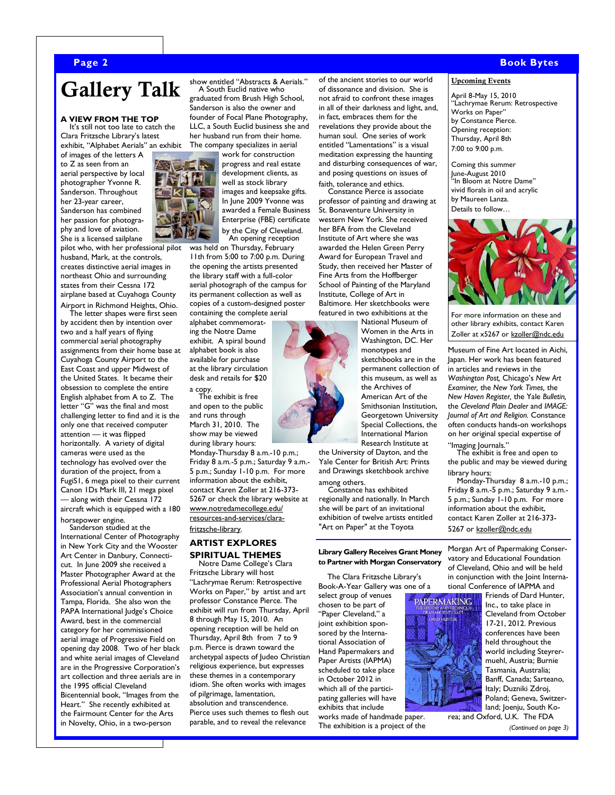# **Gallery Talk**

#### **A VIEW FROM THE TOP**

It's still not too late to catch the Clara Fritzsche Library's latest exhibit, "Alphabet Aerials" an exhibit

of images of the letters A to Z as seen from an aerial perspective by local photographer Yvonne R. Sanderson. Throughout her 23-year career, Sanderson has combined her passion for photography and love of aviation. She is a licensed sailplane

pilot who, with her professional pilot husband, Mark, at the controls, creates distinctive aerial images in northeast Ohio and surrounding states from their Cessna 172 airplane based at Cuyahoga County

Airport in Richmond Heights, Ohio. The letter shapes were first seen by accident then by intention over two and a half years of flying commercial aerial photography assignments from their home base at Cuyahoga County Airport to the East Coast and upper Midwest of the United States. It became their obsession to complete the entire English alphabet from A to Z. The letter "G" was the final and most challenging letter to find and it is the only one that received computer attention — it was flipped horizontally. A variety of digital cameras were used as the technology has evolved over the duration of the project, from a FugiS1, 6 mega pixel to their current Canon 1Ds Mark III, 21 mega pixel — along with their Cessna 172 aircraft which is equipped with a 180

horsepower engine.

Sanderson studied at the International Center of Photography in New York City and the Wooster Art Center in Danbury, Connecticut. In June 2009 she received a Master Photographer Award at the Professional Aerial Photographers Association's annual convention in Tampa, Florida. She also won the PAPA International Judge's Choice Award, best in the commercial category for her commissioned aerial image of Progressive Field on opening day 2008. Two of her black and white aerial images of Cleveland are in the Progressive Corporation's art collection and three aerials are in the 1995 official Cleveland Bicentennial book, "Images from the Heart." She recently exhibited at the Fairmount Center for the Arts in Novelty, Ohio, in a two-person

graduated from Brush High School, Sanderson is also the owner and founder of Focal Plane Photography, LLC, a South Euclid business she and her husband run from their home. The company specializes in aerial work for construction

show entitled "Abstracts & Aerials." A South Euclid native who

> progress and real estate development clients, as well as stock library images and keepsake gifts. In June 2009 Yvonne was awarded a Female Business Enterprise (FBE) certificate by the City of Cleveland. An opening reception

was held on Thursday, February 11th from 5:00 to 7:00 p.m. During the opening the artists presented the library staff with a full-color aerial photograph of the campus for its permanent collection as well as copies of a custom-designed poster containing the complete aerial

alphabet commemorating the Notre Dame exhibit. A spiral bound alphabet book is also available for purchase at the library circulation desk and retails for \$20

a copy. The exhibit is free and open to the public

and runs through March 31, 2010. The show may be viewed during library hours:

Monday-Thursday 8 a.m.-10 p.m.; Friday 8 a.m.-5 p.m.; Saturday 9 a.m.- 5 p.m.; Sunday 1-10 p.m. For more information about the exhibit, contact Karen Zoller at 216-373- 5267 or check the library website at [www.notredamecollege.edu/](http://www.notredamecollege.edu/resources-and-services/clara-fritzsche-library) [resources-and-services/clara](http://www.notredamecollege.edu/resources-and-services/clara-fritzsche-library)[fritzsche-library.](http://www.notredamecollege.edu/resources-and-services/clara-fritzsche-library)

### **ARTIST EXPLORES SPIRITUAL THEMES**

Notre Dame College's Clara Fritzsche Library will host "Lachrymae Rerum: Retrospective Works on Paper," by artist and art professor Constance Pierce. The exhibit will run from Thursday, April 8 through May 15, 2010. An opening reception will be held on Thursday, April 8th from 7 to 9 p.m. Pierce is drawn toward the archetypal aspects of Judeo Christian religious experience, but expresses these themes in a contemporary idiom. She often works with images of pilgrimage, lamentation, absolution and transcendence. Pierce uses such themes to flesh out parable, and to reveal the relevance

of the ancient stories to our world of dissonance and division. She is not afraid to confront these images in all of their darkness and light, and, in fact, embraces them for the revelations they provide about the human soul. One series of work entitled "Lamentations" is a visual meditation expressing the haunting and disturbing consequences of war, and posing questions on issues of faith, tolerance and ethics.

Constance Pierce is associate professor of painting and drawing at St. Bonaventure University in western New York. She received her BFA from the Cleveland Institute of Art where she was awarded the Helen Green Perry Award for European Travel and Study, then received her Master of Fine Arts from the Hoffberger School of Painting of the Maryland Institute, College of Art in Baltimore. Her sketchbooks were featured in two exhibitions at the National Museum of

Women in the Arts in Washington, DC. Her monotypes and sketchbooks are in the permanent collection of this museum, as well as the Archives of American Art of the Smithsonian Institution, Georgetown University Special Collections, the International Marion Research Institute at

the University of Dayton, and the Yale Center for British Art: Prints and Drawings sketchbook archive among others.

Constance has exhibited regionally and nationally. In March she will be part of an invitational exhibition of twelve artists entitled

"Art on Paper" at the Toyota

#### **Library Gallery Receives Grant Money to Partner with Morgan Conservatory**

The Clara Fritzsche Library's Book-A-Year Gallery was one of a

PAPERMAKING

select group of venues chosen to be part of "Paper Cleveland," a joint exhibition sponsored by the International Association of Hand Papermakers and Paper Artists (IAPMA) scheduled to take place in October 2012 in which all of the participating galleries will have exhibits that include

works made of handmade paper. The exhibition is a project of the **Upcoming Events**

April 8-May 15, 2010 "Lachrymae Rerum: Retrospective Works on Paper" by Constance Pierce. Opening reception: Thursday, April 8th 7:00 to 9:00 p.m.

Coming this summer June-August 2010 "In Bloom at Notre Dame" vivid florals in oil and acrylic by Maureen Lanza. Details to follow…



For more information on these and other library exhibits, contact Karen Zoller at x5267 or [kzoller@ndc.edu](mailto:kzoller@ndc.edu?subject=Upcoming%20Library%20Events)

Museum of Fine Art located in Aichi, Japan. Her work has been featured in articles and reviews in the *Washington Post,* Chicago's *New Art Examiner,* the *New York Times,* the *New Haven Register,* the Yale *Bulletin,*  the *Cleveland Plain Dealer* and *IMAGE: Journal of Art and Religion.* Constance often conducts hands-on workshops on her original special expertise of "Imaging Journals."

The exhibit is free and open to the public and may be viewed during library hours:

Monday-Thursday 8 a.m.-10 p.m.; Friday 8 a.m.-5 p.m.; Saturday 9 a.m.- 5 p.m.; Sunday 1-10 p.m. For more information about the exhibit, contact Karen Zoller at 216-373 5267 or [kzoller@ndc.edu](mailto:kzoller@ndc.edu?subject=Lachrymae%20Rerum%20exhibit)

Morgan Art of Papermaking Conservatory and Educational Foundation of Cleveland, Ohio and will be held in conjunction with the Joint International Conference of IAPMA and

Friends of Dard Hunter, Inc., to take place in Cleveland from October 17-21, 2012. Previous conferences have been held throughout the world including Steyrermuehl, Austria; Burnie Tasmania, Australia; Banff, Canada; Sarteano, Italy; Duzniki Zdroj, Poland; Geneva, Switzerland; Joenju, South Korea; and Oxford, U.K. The FDA





#### **Page 2 Book Bytes**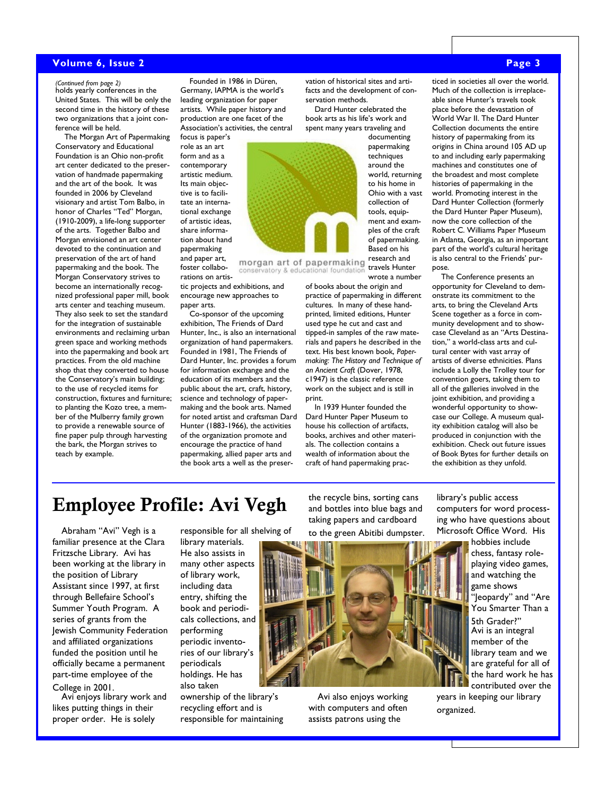#### **Volume 6, Issue 2 Page 3**

United States. This will be only the second time in the history of these two organizations that a joint conference will be held.

The Morgan Art of Papermaking Conservatory and Educational Foundation is an Ohio non-profit art center dedicated to the preservation of handmade papermaking and the art of the book. It was founded in 2006 by Cleveland visionary and artist Tom Balbo, in honor of Charles "Ted" Morgan, (1910-2009), a life-long supporter of the arts. Together Balbo and Morgan envisioned an art center devoted to the continuation and preservation of the art of hand papermaking and the book. The Morgan Conservatory strives to become an internationally recognized professional paper mill, book arts center and teaching museum. They also seek to set the standard for the integration of sustainable environments and reclaiming urban green space and working methods into the papermaking and book art practices. From the old machine shop that they converted to house the Conservatory's main building; to the use of recycled items for construction, fixtures and furniture; to planting the Kozo tree, a member of the Mulberry family grown to provide a renewable source of fine paper pulp through harvesting the bark, the Morgan strives to teach by example.

holds yearly conferences in the *(Continued from page 2)* Founded in 1986 in Düren, Germany, IAPMA is the world's leading organization for paper artists. While paper history and production are one facet of the Association's activities, the central

> focus is paper's role as an art form and as a contemporary artistic medium. Its main objective is to facilitate an international exchange of artistic ideas, share information about hand papermaking and paper art, foster collabo-

#### rations on artistic projects and exhibitions, and encourage new approaches to paper arts.

Co-sponsor of the upcoming exhibition, The Friends of Dard Hunter, Inc., is also an international organization of hand papermakers. Founded in 1981, The Friends of Dard Hunter, Inc. provides a forum for information exchange and the education of its members and the public about the art, craft, history, science and technology of papermaking and the book arts. Named for noted artist and craftsman Dard Hunter (1883-1966), the activities of the organization promote and encourage the practice of hand papermaking, allied paper arts and the book arts a well as the preservation of historical sites and artifacts and the development of conservation methods.

Dard Hunter celebrated the book arts as his life's work and spent many years traveling and documenting



travels Hunter conservatory & educational foundation wrote a number

> of books about the origin and practice of papermaking in different cultures. In many of these handprinted, limited editions, Hunter used type he cut and cast and tipped-in samples of the raw materials and papers he described in the text. His best known book, *Papermaking: The History and Technique of an Ancient Craft* (Dover, 1978, c1947) is the classic reference work on the subject and is still in print.

In 1939 Hunter founded the Dard Hunter Paper Museum to house his collection of artifacts, books, archives and other materials. The collection contains a wealth of information about the craft of hand papermaking prac-

ticed in societies all over the world. Much of the collection is irreplaceable since Hunter's travels took place before the devastation of World War II. The Dard Hunter Collection documents the entire history of papermaking from its origins in China around 105 AD up to and including early papermaking machines and constitutes one of the broadest and most complete histories of papermaking in the world. Promoting interest in the Dard Hunter Collection (formerly the Dard Hunter Paper Museum), now the core collection of the Robert C. Williams Paper Museum in Atlanta, Georgia, as an important part of the world's cultural heritage is also central to the Friends' purpose.

The Conference presents an opportunity for Cleveland to demonstrate its commitment to the arts, to bring the Cleveland Arts Scene together as a force in community development and to showcase Cleveland as an "Arts Destination," a world-class arts and cultural center with vast array of artists of diverse ethnicities. Plans include a Lolly the Trolley tour for convention goers, taking them to all of the galleries involved in the joint exhibition, and providing a wonderful opportunity to showcase our College. A museum quality exhibition catalog will also be produced in conjunction with the exhibition. Check out future issues of Book Bytes for further details on the exhibition as they unfold.

# **Employee Profile: Avi Vegh**

Abraham "Avi" Vegh is a familiar presence at the Clara Fritzsche Library. Avi has been working at the library in the position of Library Assistant since 1997, at first through Bellefaire School's Summer Youth Program. A series of grants from the Jewish Community Federation and affiliated organizations funded the position until he officially became a permanent part-time employee of the

#### College in 2001.

Avi enjoys library work and likes putting things in their proper order. He is solely

responsible for all shelving of

library materials. He also assists in many other aspects of library work, including data entry, shifting the book and periodicals collections, and performing periodic inventories of our library's periodicals holdings. He has also taken

ownership of the library's recycling effort and is responsible for maintaining

the recycle bins, sorting cans and bottles into blue bags and taking papers and cardboard

to the green Abitibi dumpster.



Avi also enjoys working with computers and often assists patrons using the

library's public access computers for word processing who have questions about Microsoft Office Word. His

hobbies include chess, fantasy roleplaying video games, and watching the game shows "Jeopardy" and "Are You Smarter Than a 5th Grader?" Avi is an integral member of the library team and we are grateful for all of the hard work he has contributed over the

years in keeping our library organized.